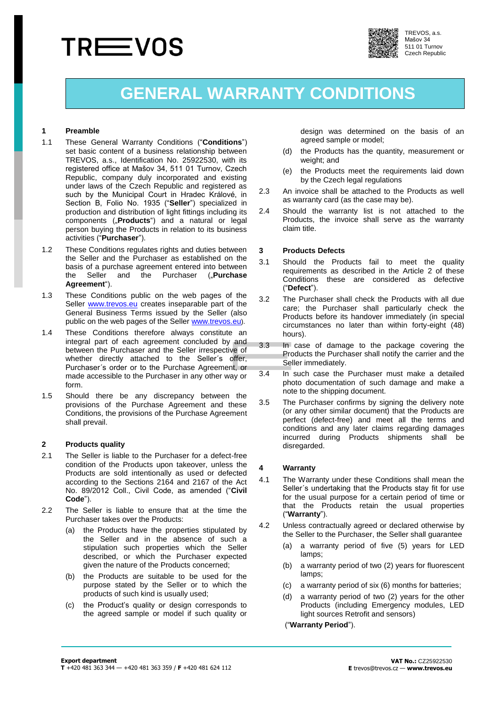# **TREEVOS**



TREVOS, a.s. Mašov 34 511 01 Turnov Czech Republic

# **GENERAL WARRANTY CONDITIONS**

#### **1 Preamble**

- 1.1 These General Warranty Conditions ("**Conditions**") set basic content of a business relationship between TREVOS, a.s., Identification No. 25922530, with its registered office at Mašov 34, 511 01 Turnov, Czech Republic, company duly incorporated and existing under laws of the Czech Republic and registered as such by the Municipal Court in Hradec Králové, in Section B, Folio No. 1935 ("**Seller**") specialized in production and distribution of light fittings including its components ("**Products**") and a natural or legal person buying the Products in relation to its business activities ("**Purchaser**").
- 1.2 These Conditions regulates rights and duties between the Seller and the Purchaser as established on the basis of a purchase agreement entered into between the Seller and the Purchaser ("**Purchase Agreement**").
- 1.3 These Conditions public on the web pages of the Seller [www.trevos.e](http://www.trevos./)u creates inseparable part of the General Business Terms issued by the Seller (also public on the web pages of the Seller www.trevos.eu).
- 1.4 These Conditions therefore always constitute an integral part of each agreement concluded by and between the Purchaser and the Seller irrespective of whether directly attached to the Seller´s offer, Purchaser´s order or to the Purchase Agreement, or made accessible to the Purchaser in any other way or form.
- 1.5 Should there be any discrepancy between the provisions of the Purchase Agreement and these Conditions, the provisions of the Purchase Agreement shall prevail.

# <span id="page-0-0"></span>**2 Products quality**

- 2.1 The Seller is liable to the Purchaser for a defect-free condition of the Products upon takeover, unless the Products are sold intentionally as used or defected according to the Sections 2164 and 2167 of the Act No. 89/2012 Coll., Civil Code, as amended ("**Civil Code**").
- 2.2 The Seller is liable to ensure that at the time the Purchaser takes over the Products:
	- (a) the Products have the properties stipulated by the Seller and in the absence of such a stipulation such properties which the Seller described, or which the Purchaser expected given the nature of the Products concerned;
	- (b) the Products are suitable to be used for the purpose stated by the Seller or to which the products of such kind is usually used;
	- (c) the Product's quality or design corresponds to the agreed sample or model if such quality or

design was determined on the basis of an agreed sample or model;

- (d) the Products has the quantity, measurement or weight; and
- (e) the Products meet the requirements laid down by the Czech legal regulations
- 2.3 An invoice shall be attached to the Products as well as warranty card [\(as](https://slovnik.seznam.cz/en-cz/?q=as) [the](https://slovnik.seznam.cz/en-cz/?q=the) [case](https://slovnik.seznam.cz/en-cz/?q=case) [may](https://slovnik.seznam.cz/en-cz/?q=may) [be\)](https://slovnik.seznam.cz/en-cz/?q=be).
- 2.4 Should the warranty list is not attached to the Products, the invoice shall serve as the warranty claim title.

#### **3 Products Defects**

- 3.1 Should the Products fail to meet the quality requirements as described in the Article [2](#page-0-0) of these Conditions these are considered as defective ("**Defect**").
- 3.2 The Purchaser shall check the Products with all due care; the Purchaser shall particularly check the Products before its handover immediately (in special circumstances no later than within forty-eight (48) hours).
- 3.3 In case of damage to the package covering the Products the Purchaser shall notify the carrier and the Seller immediately.
- 3.4 In such case the Purchaser must make a detailed photo documentation of such damage and make a note to the shipping document.
- 3.5 The Purchaser confirms by signing the delivery note (or any other similar document) that the Products are perfect (defect-free) and meet all the terms and conditions and any later claims regarding damages incurred during Products shipments shall be disregarded.

# **4 Warranty**

- 4.1 The Warranty under these Conditions shall mean the Seller´s undertaking that the Products stay fit for use for the usual purpose for a certain period of time or that the Products retain the usual properties ("**Warranty**").
- 4.2 Unless contractually agreed or declared otherwise by the Seller to the Purchaser, the Seller shall guarantee
	- (a) a warranty period of five (5) years for LED lamps;
	- (b) a warranty period of two (2) years for fluorescent [lamps](https://slovnik.seznam.cz/en-cz/?q=lamp);
	- (c) a warranty period of six (6) months for batteries;
	- (d) a warranty period of two (2) years for the other Products (including Emergency modules, LED light sources Retrofit and sensors)

("**Warranty Period**").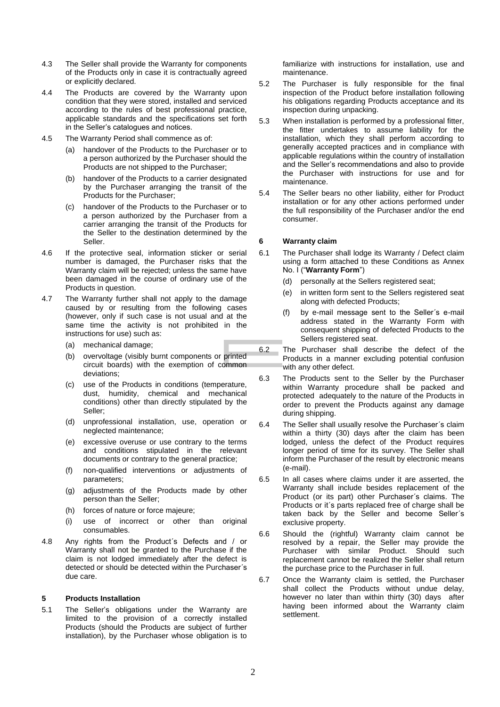- 4.3 The Seller shall provide the Warranty for components of the Products only in case it is contractually agreed or explicitly declared.
- 4.4 The Products are covered by the Warranty upon condition that they were stored, installed and serviced according to the rules of best professional practice, applicable standards and the specifications set forth in the Seller's catalogues and notices.
- 4.5 The Warranty Period shall commence as of:
	- (a) handover of the Products to the Purchaser or to a person authorized by the Purchaser should the Products are not shipped to the Purchaser;
	- (b) handover of the Products to a carrier designated by the Purchaser arranging the transit of the Products for the Purchaser;
	- (c) handover of the Products to the Purchaser or to a person authorized by the Purchaser from a carrier arranging the transit of the Products for the Seller to the destination determined by the Seller.
- 4.6 If the protective seal, information sticker or serial number is damaged, the Purchaser risks that the Warranty claim will be rejected; unless the same have been damaged in the course of ordinary use of the Products in question.
- 4.7 The Warranty further shall not apply to the damage caused by or resulting from the following cases (however, only if such case is not usual and at the same time the activity is not prohibited in the instructions for use) such as:
	- (a) mechanical damage;
	- (b) overvoltage (visibly burnt components or printed circuit boards) with the exemption of common deviations;
	- (c) use of the Products in conditions (temperature, dust, humidity, chemical and mechanical conditions) other than directly stipulated by the Seller;
	- (d) unprofessional installation, use, operation or neglected maintenance;
	- (e) excessive overuse or use contrary to the terms and conditions stipulated in the relevant documents or contrary to the general practice;
	- (f) non-qualified interventions or adjustments of parameters;
	- (g) adjustments of the Products made by other person than the Seller;
	- (h) forces of nature or force majeure;
	- (i) use of incorrect or other than original consumables.
- 4.8 Any rights from the Product´s Defects and / or Warranty shall not be granted to the Purchase if the claim is not lodged immediately after the defect is detected or should be detected within the Purchaser´s due care.

# **5 Products Installation**

5.1 The Seller's obligations under the Warranty are limited to the provision of a correctly installed Products (should the Products are subject of further installation), by the Purchaser whose obligation is to familiarize with instructions for installation, use and maintenance.

- 5.2 The Purchaser is fully responsible for the final inspection of the Product before installation following his obligations regarding Products acceptance and its inspection during unpacking.
- 5.3 When installation is performed by a professional fitter, the fitter undertakes to assume liability for the installation, which they shall perform according to generally accepted practices and in compliance with applicable regulations within the country of installation and the Seller's recommendations and also to provide the Purchaser with instructions for use and for maintenance.
- 5.4 The Seller bears no other liability, either for Product installation or for any other actions performed under the full responsibility of the Purchaser and/or the end consumer.

# **6 Warranty claim**

- 6.1 The Purchaser shall lodge its Warranty / Defect claim using a form attached to these Conditions as Annex No. I ("**Warranty Form**")
	- (d) personally at the Sellers registered seat;
	- (e) in written form sent to the Sellers registered seat along with defected Products;
	- (f) by e-mail message sent to the Seller´s e-mail address stated in the Warranty Form with consequent shipping of defected Products to the Sellers registered seat.
- 6.2 The Purchaser shall describe the defect of the Products in a manner excluding potential confusion with any other defect.
- 6.3 The Products sent to the Seller by the Purchaser within Warranty procedure shall be packed and protected adequately to the nature of the Products in order to prevent the Products against any damage during shipping.
- 6.4 The Seller shall usually resolve the Purchaser´s claim within a thirty (30) days after the claim has been lodged, unless the defect of the Product requires longer period of time for its survey. The Seller shall inform the Purchaser of the result by electronic means (e-mail).
- 6.5 In all cases where claims under it are asserted, the Warranty shall include besides replacement of the Product (or its part) other Purchaser´s claims. The Products or it´s parts replaced free of charge shall be taken back by the Seller and become Seller´s exclusive property.
- 6.6 Should the (rightful) Warranty claim cannot be resolved by a repair, the Seller may provide the Purchaser with similar Product. Should such replacement cannot be realized the Seller shall return the purchase price to the Purchaser in full.
- 6.7 Once the Warranty claim is settled, the Purchaser shall collect the Products without undue delay, however no later than within thirty (30) days after having been informed about the Warranty claim settlement.